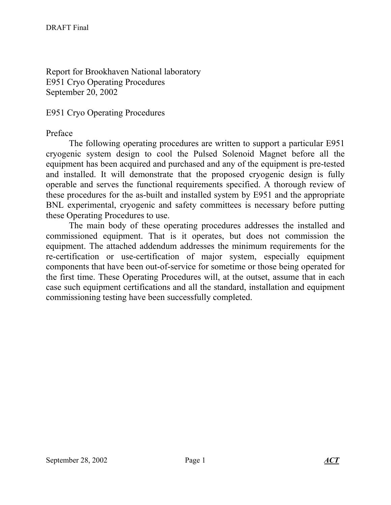Report for Brookhaven National laboratory E951 Cryo Operating Procedures September 20, 2002

E951 Cryo Operating Procedures

Preface

 The following operating procedures are written to support a particular E951 cryogenic system design to cool the Pulsed Solenoid Magnet before all the equipment has been acquired and purchased and any of the equipment is pre-tested and installed. It will demonstrate that the proposed cryogenic design is fully operable and serves the functional requirements specified. A thorough review of these procedures for the as-built and installed system by E951 and the appropriate BNL experimental, cryogenic and safety committees is necessary before putting these Operating Procedures to use.

 The main body of these operating procedures addresses the installed and commissioned equipment. That is it operates, but does not commission the equipment. The attached addendum addresses the minimum requirements for the re-certification or use-certification of major system, especially equipment components that have been out-of-service for sometime or those being operated for the first time. These Operating Procedures will, at the outset, assume that in each case such equipment certifications and all the standard, installation and equipment commissioning testing have been successfully completed.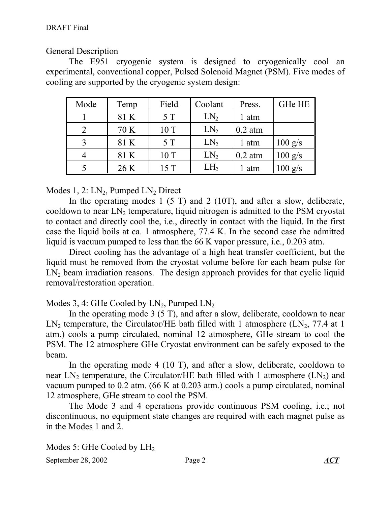General Description

 The E951 cryogenic system is designed to cryogenically cool an experimental, conventional copper, Pulsed Solenoid Magnet (PSM). Five modes of cooling are supported by the cryogenic system design:

| Mode | Temp | Field | Coolant         | Press.    | GHe HE            |
|------|------|-------|-----------------|-----------|-------------------|
|      | 81 K | 5 T   | LN <sub>2</sub> | 1 atm     |                   |
|      | 70 K | 10T   | LN <sub>2</sub> | $0.2$ atm |                   |
| 3    | 81 K | 5T    | LN <sub>2</sub> | 1 atm     | $100 \text{ g/s}$ |
|      | 81 K | 10T   | LN <sub>2</sub> | $0.2$ atm | $100$ g/s         |
|      | 26 K | 15T   | LH <sub>2</sub> | atm       | $100 \text{ g/s}$ |

Modes  $1, 2$ : LN<sub>2</sub>, Pumped LN<sub>2</sub> Direct

 In the operating modes 1 (5 T) and 2 (10T), and after a slow, deliberate, cooldown to near  $LN<sub>2</sub>$  temperature, liquid nitrogen is admitted to the PSM cryostat to contact and directly cool the, i.e., directly in contact with the liquid. In the first case the liquid boils at ca. 1 atmosphere, 77.4 K. In the second case the admitted liquid is vacuum pumped to less than the 66 K vapor pressure, i.e., 0.203 atm.

 Direct cooling has the advantage of a high heat transfer coefficient, but the liquid must be removed from the cryostat volume before for each beam pulse for  $LN<sub>2</sub>$  beam irradiation reasons. The design approach provides for that cyclic liquid removal/restoration operation.

Modes 3, 4: GHe Cooled by  $LN_2$ , Pumped  $LN_2$ 

 In the operating mode 3 (5 T), and after a slow, deliberate, cooldown to near LN<sub>2</sub> temperature, the Circulator/HE bath filled with 1 atmosphere (LN<sub>2</sub>, 77.4 at 1) atm.) cools a pump circulated, nominal 12 atmosphere, GHe stream to cool the PSM. The 12 atmosphere GHe Cryostat environment can be safely exposed to the beam.

In the operating mode 4 (10 T), and after a slow, deliberate, cooldown to near  $LN_2$  temperature, the Circulator/HE bath filled with 1 atmosphere  $(LN_2)$  and vacuum pumped to 0.2 atm. (66 K at 0.203 atm.) cools a pump circulated, nominal 12 atmosphere, GHe stream to cool the PSM.

The Mode 3 and 4 operations provide continuous PSM cooling, i.e.; not discontinuous, no equipment state changes are required with each magnet pulse as in the Modes 1 and 2.

Modes 5: GHe Cooled by  $LH<sub>2</sub>$ 

September 28, 2002 Page 2 *ACT*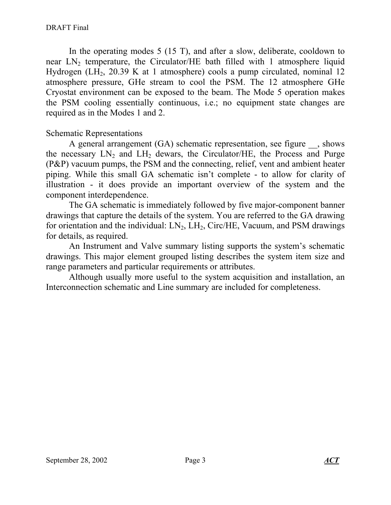In the operating modes 5 (15 T), and after a slow, deliberate, cooldown to near  $LN_2$  temperature, the Circulator/HE bath filled with 1 atmosphere liquid Hydrogen (LH<sub>2</sub>, 20.39 K at 1 atmosphere) cools a pump circulated, nominal 12 atmosphere pressure, GHe stream to cool the PSM. The 12 atmosphere GHe Cryostat environment can be exposed to the beam. The Mode 5 operation makes the PSM cooling essentially continuous, i.e.; no equipment state changes are required as in the Modes 1 and 2.

#### Schematic Representations

A general arrangement (GA) schematic representation, see figure , shows the necessary  $LN_2$  and  $LH_2$  dewars, the Circulator/HE, the Process and Purge (P&P) vacuum pumps, the PSM and the connecting, relief, vent and ambient heater piping. While this small GA schematic isn't complete - to allow for clarity of illustration - it does provide an important overview of the system and the component interdependence.

 The GA schematic is immediately followed by five major-component banner drawings that capture the details of the system. You are referred to the GA drawing for orientation and the individual:  $LN_2$ ,  $LH_2$ ,  $Circ/HE$ ,  $Vacuum$ , and PSM drawings for details, as required.

 An Instrument and Valve summary listing supports the system's schematic drawings. This major element grouped listing describes the system item size and range parameters and particular requirements or attributes.

 Although usually more useful to the system acquisition and installation, an Interconnection schematic and Line summary are included for completeness.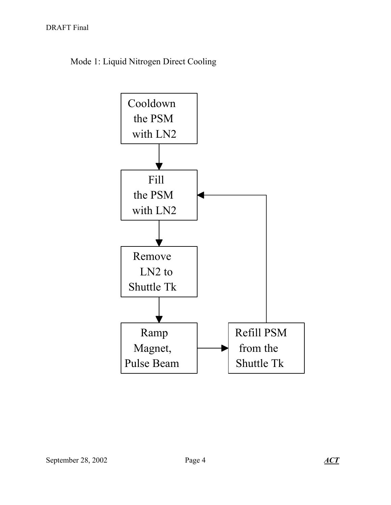

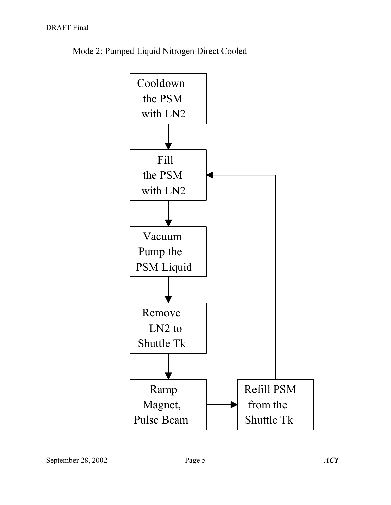

Mode 2: Pumped Liquid Nitrogen Direct Cooled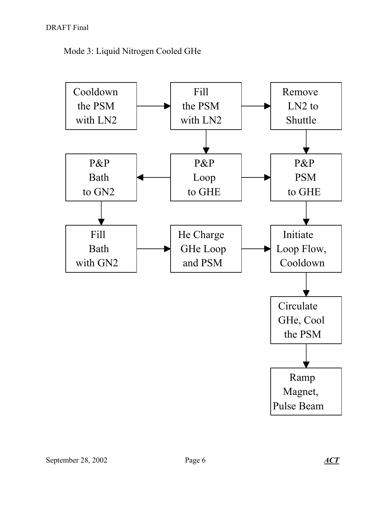

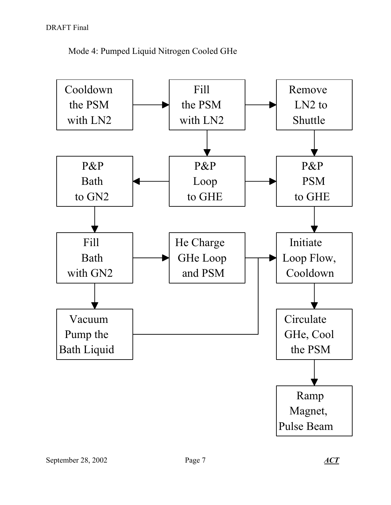

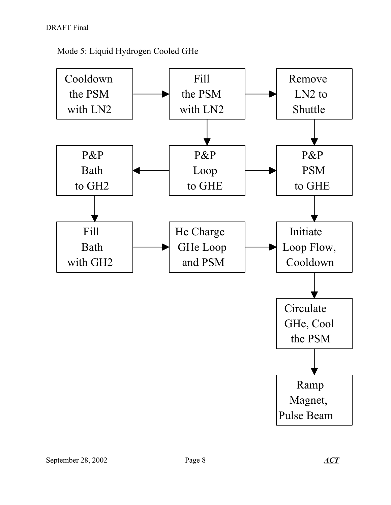Mode 5: Liquid Hydrogen Cooled GHe

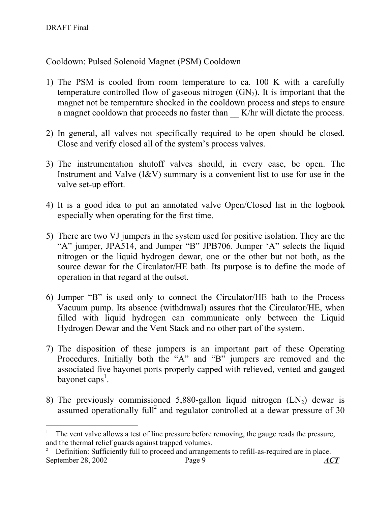Cooldown: Pulsed Solenoid Magnet (PSM) Cooldown

- 1) The PSM is cooled from room temperature to ca. 100 K with a carefully temperature controlled flow of gaseous nitrogen  $(GN<sub>2</sub>)$ . It is important that the magnet not be temperature shocked in the cooldown process and steps to ensure a magnet cooldown that proceeds no faster than K/hr will dictate the process.
- 2) In general, all valves not specifically required to be open should be closed. Close and verify closed all of the system's process valves.
- 3) The instrumentation shutoff valves should, in every case, be open. The Instrument and Valve (I&V) summary is a convenient list to use for use in the valve set-up effort.
- 4) It is a good idea to put an annotated valve Open/Closed list in the logbook especially when operating for the first time.
- 5) There are two VJ jumpers in the system used for positive isolation. They are the "A" jumper, JPA514, and Jumper "B" JPB706. Jumper 'A" selects the liquid nitrogen or the liquid hydrogen dewar, one or the other but not both, as the source dewar for the Circulator/HE bath. Its purpose is to define the mode of operation in that regard at the outset.
- 6) Jumper "B" is used only to connect the Circulator/HE bath to the Process Vacuum pump. Its absence (withdrawal) assures that the Circulator/HE, when filled with liquid hydrogen can communicate only between the Liquid Hydrogen Dewar and the Vent Stack and no other part of the system.
- 7) The disposition of these jumpers is an important part of these Operating Procedures. Initially both the "A" and "B" jumpers are removed and the associated five bayonet ports properly capped with relieved, vented and gauged bayonet caps<sup>1</sup>.
- 8) The previously commissioned 5,880-gallon liquid nitrogen  $(LN<sub>2</sub>)$  dewar is assumed operationally full<sup>2</sup> and regulator controlled at a dewar pressure of 30

<sup>1</sup> The vent valve allows a test of line pressure before removing, the gauge reads the pressure, and the thermal relief guards against trapped volumes. 2

September 28, 2002 Page 9 *ACT* Definition: Sufficiently full to proceed and arrangements to refill-as-required are in place.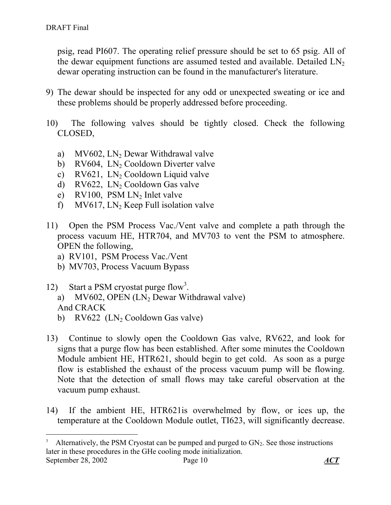psig, read PI607. The operating relief pressure should be set to 65 psig. All of the dewar equipment functions are assumed tested and available. Detailed  $LN<sub>2</sub>$ dewar operating instruction can be found in the manufacturer's literature.

- 9) The dewar should be inspected for any odd or unexpected sweating or ice and these problems should be properly addressed before proceeding.
- 10) The following valves should be tightly closed. Check the following CLOSED,
	- a) MV602,  $LN_2$  Dewar Withdrawal valve
	- b) RV604,  $LN_2$  Cooldown Diverter valve
	- c) RV621,  $LN_2$  Cooldown Liquid valve
	- d) RV622,  $LN_2$  Cooldown Gas valve
	- e) RV100, PSM LN<sub>2</sub> Inlet valve
	- f) MV617,  $LN_2$  Keep Full isolation valve
- 11) Open the PSM Process Vac./Vent valve and complete a path through the process vacuum HE, HTR704, and MV703 to vent the PSM to atmosphere. OPEN the following,
	- a) RV101, PSM Process Vac./Vent
	- b) MV703, Process Vacuum Bypass
- 12) Start a PSM cryostat purge flow<sup>3</sup>.

- a) MV602, OPEN  $(LN_2)$  Dewar Withdrawal valve) And CRACK
- b) RV622  $(LN_2$  Cooldown Gas valve)
- 13) Continue to slowly open the Cooldown Gas valve, RV622, and look for signs that a purge flow has been established. After some minutes the Cooldown Module ambient HE, HTR621, should begin to get cold. As soon as a purge flow is established the exhaust of the process vacuum pump will be flowing. Note that the detection of small flows may take careful observation at the vacuum pump exhaust.
- 14) If the ambient HE, HTR621is overwhelmed by flow, or ices up, the temperature at the Cooldown Module outlet, TI623, will significantly decrease.

September 28, 2002 Page 10 *ACT* 3 Alternatively, the PSM Cryostat can be pumped and purged to  $GN<sub>2</sub>$ . See those instructions later in these procedures in the GHe cooling mode initialization.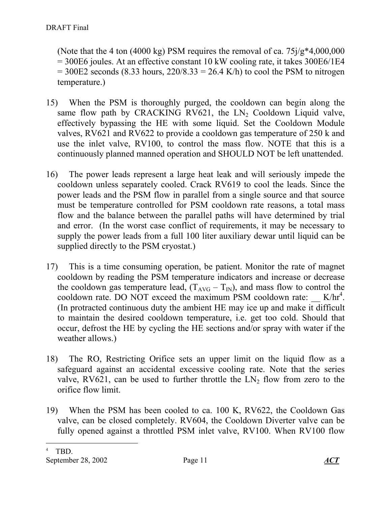(Note that the 4 ton  $(4000 \text{ kg})$  PSM requires the removal of ca.  $75j/g*4,000,000$ = 300E6 joules. At an effective constant 10 kW cooling rate, it takes 300E6/1E4  $= 300E2$  seconds (8.33 hours,  $220/8.33 = 26.4$  K/h) to cool the PSM to nitrogen temperature.)

- 15) When the PSM is thoroughly purged, the cooldown can begin along the same flow path by CRACKING RV621, the  $LN_2$  Cooldown Liquid valve, effectively bypassing the HE with some liquid. Set the Cooldown Module valves, RV621 and RV622 to provide a cooldown gas temperature of 250 k and use the inlet valve, RV100, to control the mass flow. NOTE that this is a continuously planned manned operation and SHOULD NOT be left unattended.
- 16) The power leads represent a large heat leak and will seriously impede the cooldown unless separately cooled. Crack RV619 to cool the leads. Since the power leads and the PSM flow in parallel from a single source and that source must be temperature controlled for PSM cooldown rate reasons, a total mass flow and the balance between the parallel paths will have determined by trial and error. (In the worst case conflict of requirements, it may be necessary to supply the power leads from a full 100 liter auxiliary dewar until liquid can be supplied directly to the PSM cryostat.)
- 17) This is a time consuming operation, be patient. Monitor the rate of magnet cooldown by reading the PSM temperature indicators and increase or decrease the cooldown gas temperature lead,  $(T_{AVG} - T_{IN})$ , and mass flow to control the cooldown rate. DO NOT exceed the maximum PSM cooldown rate:  $K/hr<sup>4</sup>$ . (In protracted continuous duty the ambient HE may ice up and make it difficult to maintain the desired cooldown temperature, i.e. get too cold. Should that occur, defrost the HE by cycling the HE sections and/or spray with water if the weather allows.)
- 18) The RO, Restricting Orifice sets an upper limit on the liquid flow as a safeguard against an accidental excessive cooling rate. Note that the series valve, RV621, can be used to further throttle the  $LN_2$  flow from zero to the orifice flow limit.
- 19) When the PSM has been cooled to ca. 100 K, RV622, the Cooldown Gas valve, can be closed completely. RV604, the Cooldown Diverter valve can be fully opened against a throttled PSM inlet valve, RV100. When RV100 flow

September 28, 2002 Page 11 *ACT* 4 TBD.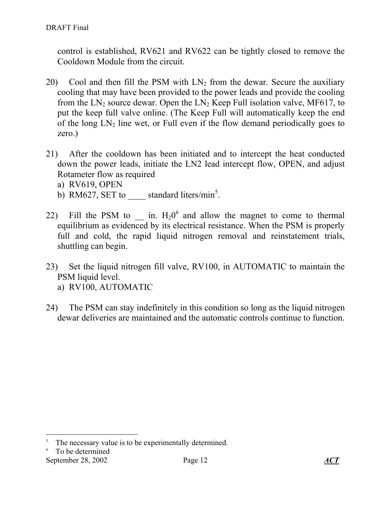control is established, RV621 and RV622 can be tightly closed to remove the Cooldown Module from the circuit.

- 20) Cool and then fill the PSM with  $LN_2$  from the dewar. Secure the auxiliary cooling that may have been provided to the power leads and provide the cooling from the  $LN_2$  source dewar. Open the  $LN_2$  Keep Full isolation valve, MF617, to put the keep full valve online. (The Keep Full will automatically keep the end of the long  $LN_2$  line wet, or Full even if the flow demand periodically goes to zero.)
- 21) After the cooldown has been initiated and to intercept the heat conducted down the power leads, initiate the LN2 lead intercept flow, OPEN, and adjust Rotameter flow as required
	- a) RV619, OPEN
	- b) RM627, SET to standard liters/min<sup>5</sup>.
- 22) Fill the PSM to  $\equiv$  in.  $H_20^6$  and allow the magnet to come to thermal equilibrium as evidenced by its electrical resistance. When the PSM is properly full and cold, the rapid liquid nitrogen removal and reinstatement trials, shuttling can begin.
- 23) Set the liquid nitrogen fill valve, RV100, in AUTOMATIC to maintain the PSM liquid level.
	- a) RV100, AUTOMATIC
- 24) The PSM can stay indefinitely in this condition so long as the liquid nitrogen dewar deliveries are maintained and the automatic controls continue to function.

6 To be determined

<sup>&</sup>lt;sup>5</sup> The necessary value is to be experimentally determined.

September 28, 2002 Page 12 *ACT*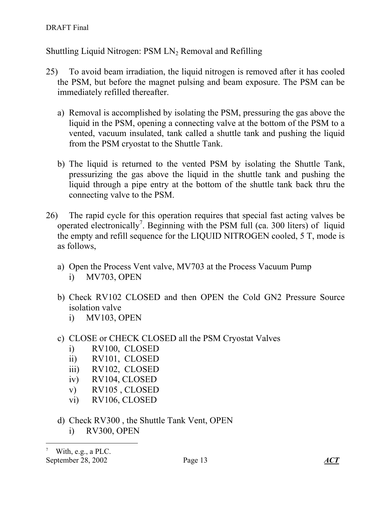Shuttling Liquid Nitrogen: PSM  $LN_2$  Removal and Refilling

- 25) To avoid beam irradiation, the liquid nitrogen is removed after it has cooled the PSM, but before the magnet pulsing and beam exposure. The PSM can be immediately refilled thereafter.
	- a) Removal is accomplished by isolating the PSM, pressuring the gas above the liquid in the PSM, opening a connecting valve at the bottom of the PSM to a vented, vacuum insulated, tank called a shuttle tank and pushing the liquid from the PSM cryostat to the Shuttle Tank.
	- b) The liquid is returned to the vented PSM by isolating the Shuttle Tank, pressurizing the gas above the liquid in the shuttle tank and pushing the liquid through a pipe entry at the bottom of the shuttle tank back thru the connecting valve to the PSM.
- 26) The rapid cycle for this operation requires that special fast acting valves be operated electronically<sup>7</sup>. Beginning with the PSM full (ca. 300 liters) of liquid the empty and refill sequence for the LIQUID NITROGEN cooled, 5 T, mode is as follows,
	- a) Open the Process Vent valve, MV703 at the Process Vacuum Pump i) MV703, OPEN
	- b) Check RV102 CLOSED and then OPEN the Cold GN2 Pressure Source isolation valve
		- i) MV103, OPEN
	- c) CLOSE or CHECK CLOSED all the PSM Cryostat Valves
		- i) RV100, CLOSED
		- ii) RV101, CLOSED
		- iii) RV102, CLOSED
		- iv) RV104, CLOSED
		- v) RV105 , CLOSED
		- vi) RV106, CLOSED
	- d) Check RV300 , the Shuttle Tank Vent, OPEN
		- i) RV300, OPEN

September 28, 2002 Page 13 *ACT*  $\overline{a}$ 7 With, e.g., a PLC.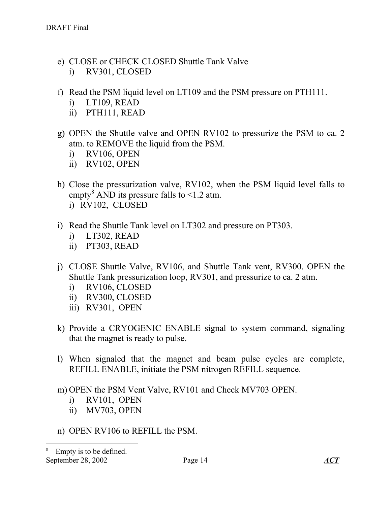- e) CLOSE or CHECK CLOSED Shuttle Tank Valve i) RV301, CLOSED
- f) Read the PSM liquid level on LT109 and the PSM pressure on PTH111.
	- i) LT109, READ
	- ii) PTH111, READ
- g) OPEN the Shuttle valve and OPEN RV102 to pressurize the PSM to ca. 2 atm. to REMOVE the liquid from the PSM.
	- i) RV106, OPEN
	- ii) RV102, OPEN
- h) Close the pressurization valve, RV102, when the PSM liquid level falls to empty<sup>8</sup> AND its pressure falls to <1.2 atm. i) RV102, CLOSED
- i) Read the Shuttle Tank level on LT302 and pressure on PT303.
	- i) LT302, READ
	- ii) PT303, READ
- j) CLOSE Shuttle Valve, RV106, and Shuttle Tank vent, RV300. OPEN the Shuttle Tank pressurization loop, RV301, and pressurize to ca. 2 atm.
	- i) RV106, CLOSED
	- ii) RV300, CLOSED
	- iii) RV301, OPEN
- k) Provide a CRYOGENIC ENABLE signal to system command, signaling that the magnet is ready to pulse.
- l) When signaled that the magnet and beam pulse cycles are complete, REFILL ENABLE, initiate the PSM nitrogen REFILL sequence.

m) OPEN the PSM Vent Valve, RV101 and Check MV703 OPEN.

- i) RV101, OPEN
- ii) MV703, OPEN
- n) OPEN RV106 to REFILL the PSM.

September 28, 2002 Page 14 *ACT*  $\overline{a}$ 8 Empty is to be defined.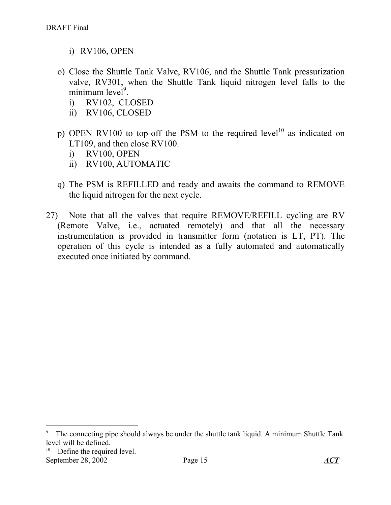- i) RV106, OPEN
- o) Close the Shuttle Tank Valve, RV106, and the Shuttle Tank pressurization valve, RV301, when the Shuttle Tank liquid nitrogen level falls to the minimum level<sup>9</sup>.
	- i) RV102, CLOSED
	- ii) RV106, CLOSED
- p) OPEN RV100 to top-off the PSM to the required level<sup>10</sup> as indicated on LT109, and then close RV100.
	- i) RV100, OPEN
	- ii) RV100, AUTOMATIC
- q) The PSM is REFILLED and ready and awaits the command to REMOVE the liquid nitrogen for the next cycle.
- 27) Note that all the valves that require REMOVE/REFILL cycling are RV (Remote Valve, i.e., actuated remotely) and that all the necessary instrumentation is provided in transmitter form (notation is LT, PT). The operation of this cycle is intended as a fully automated and automatically executed once initiated by command.

<sup>9</sup> The connecting pipe should always be under the shuttle tank liquid. A minimum Shuttle Tank level will be defined.

September 28, 2002 Page 15 *ACT* Define the required level.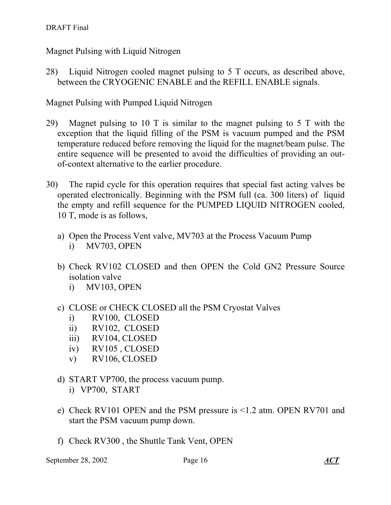Magnet Pulsing with Liquid Nitrogen

28) Liquid Nitrogen cooled magnet pulsing to 5 T occurs, as described above, between the CRYOGENIC ENABLE and the REFILL ENABLE signals.

Magnet Pulsing with Pumped Liquid Nitrogen

- 29) Magnet pulsing to 10 T is similar to the magnet pulsing to 5 T with the exception that the liquid filling of the PSM is vacuum pumped and the PSM temperature reduced before removing the liquid for the magnet/beam pulse. The entire sequence will be presented to avoid the difficulties of providing an outof-context alternative to the earlier procedure.
- 30) The rapid cycle for this operation requires that special fast acting valves be operated electronically. Beginning with the PSM full (ca. 300 liters) of liquid the empty and refill sequence for the PUMPED LIQUID NITROGEN cooled, 10 T, mode is as follows,
	- a) Open the Process Vent valve, MV703 at the Process Vacuum Pump i) MV703, OPEN
	- b) Check RV102 CLOSED and then OPEN the Cold GN2 Pressure Source isolation valve
		- i) MV103, OPEN
	- c) CLOSE or CHECK CLOSED all the PSM Cryostat Valves
		- i) RV100, CLOSED
		- ii) RV102, CLOSED
		- iii) RV104, CLOSED
		- iv) RV105 , CLOSED
		- v) RV106, CLOSED
	- d) START VP700, the process vacuum pump.
		- i) VP700, START
	- e) Check RV101 OPEN and the PSM pressure is <1.2 atm. OPEN RV701 and start the PSM vacuum pump down.
	- f) Check RV300 , the Shuttle Tank Vent, OPEN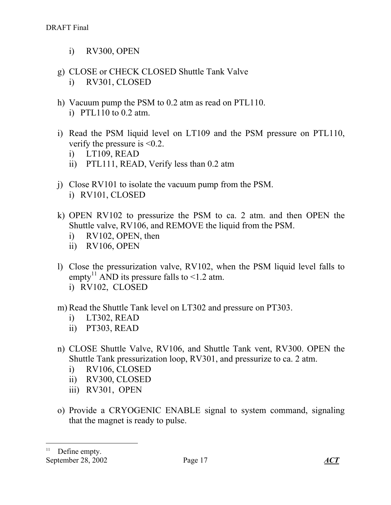- i) RV300, OPEN
- g) CLOSE or CHECK CLOSED Shuttle Tank Valve i) RV301, CLOSED
- h) Vacuum pump the PSM to 0.2 atm as read on PTL110. i) PTL110 to 0.2 atm.
- i) Read the PSM liquid level on LT109 and the PSM pressure on PTL110, verify the pressure is  $\leq 0.2$ .
	- i) LT109, READ
	- ii) PTL111, READ, Verify less than 0.2 atm
- j) Close RV101 to isolate the vacuum pump from the PSM. i) RV101, CLOSED
- k) OPEN RV102 to pressurize the PSM to ca. 2 atm. and then OPEN the Shuttle valve, RV106, and REMOVE the liquid from the PSM.
	- i) RV102, OPEN, then
	- ii) RV106, OPEN
- l) Close the pressurization valve, RV102, when the PSM liquid level falls to empty<sup>11</sup> AND its pressure falls to  $\leq$  1.2 atm.
	- i) RV102, CLOSED
- m) Read the Shuttle Tank level on LT302 and pressure on PT303.
	- i) LT302, READ
	- ii) PT303, READ
- n) CLOSE Shuttle Valve, RV106, and Shuttle Tank vent, RV300. OPEN the Shuttle Tank pressurization loop, RV301, and pressurize to ca. 2 atm.
	- i) RV106, CLOSED
	- ii) RV300, CLOSED
	- iii) RV301, OPEN
- o) Provide a CRYOGENIC ENABLE signal to system command, signaling that the magnet is ready to pulse.

September 28, 2002 Page 17 *ACT*  $11$  Define empty.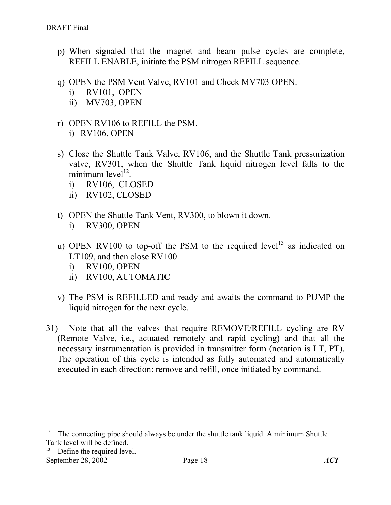- p) When signaled that the magnet and beam pulse cycles are complete, REFILL ENABLE, initiate the PSM nitrogen REFILL sequence.
- q) OPEN the PSM Vent Valve, RV101 and Check MV703 OPEN.
	- i) RV101, OPEN
	- ii) MV703, OPEN
- r) OPEN RV106 to REFILL the PSM. i) RV106, OPEN
- s) Close the Shuttle Tank Valve, RV106, and the Shuttle Tank pressurization valve, RV301, when the Shuttle Tank liquid nitrogen level falls to the minimum level $12$ .
	- i) RV106, CLOSED
	- ii) RV102, CLOSED
- t) OPEN the Shuttle Tank Vent, RV300, to blown it down.
	- i) RV300, OPEN
- u) OPEN RV100 to top-off the PSM to the required level<sup>13</sup> as indicated on LT109, and then close RV100.
	- i) RV100, OPEN
	- ii) RV100, AUTOMATIC
- v) The PSM is REFILLED and ready and awaits the command to PUMP the liquid nitrogen for the next cycle.
- 31) Note that all the valves that require REMOVE/REFILL cycling are RV (Remote Valve, i.e., actuated remotely and rapid cycling) and that all the necessary instrumentation is provided in transmitter form (notation is LT, PT). The operation of this cycle is intended as fully automated and automatically executed in each direction: remove and refill, once initiated by command.

 $12$  The connecting pipe should always be under the shuttle tank liquid. A minimum Shuttle Tank level will be defined.

September 28, 2002 Page 18 *ACT* Define the required level.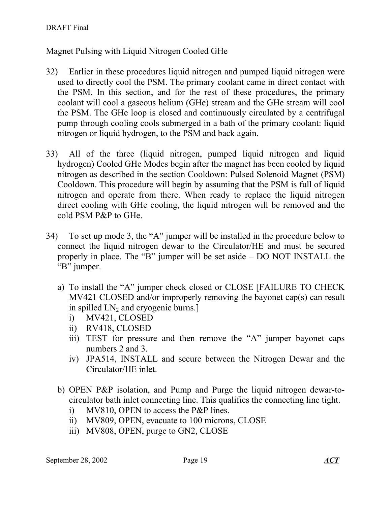Magnet Pulsing with Liquid Nitrogen Cooled GHe

- 32) Earlier in these procedures liquid nitrogen and pumped liquid nitrogen were used to directly cool the PSM. The primary coolant came in direct contact with the PSM. In this section, and for the rest of these procedures, the primary coolant will cool a gaseous helium (GHe) stream and the GHe stream will cool the PSM. The GHe loop is closed and continuously circulated by a centrifugal pump through cooling cools submerged in a bath of the primary coolant: liquid nitrogen or liquid hydrogen, to the PSM and back again.
- 33) All of the three (liquid nitrogen, pumped liquid nitrogen and liquid hydrogen) Cooled GHe Modes begin after the magnet has been cooled by liquid nitrogen as described in the section Cooldown: Pulsed Solenoid Magnet (PSM) Cooldown. This procedure will begin by assuming that the PSM is full of liquid nitrogen and operate from there. When ready to replace the liquid nitrogen direct cooling with GHe cooling, the liquid nitrogen will be removed and the cold PSM P&P to GHe.
- 34) To set up mode 3, the "A" jumper will be installed in the procedure below to connect the liquid nitrogen dewar to the Circulator/HE and must be secured properly in place. The "B" jumper will be set aside – DO NOT INSTALL the "B" jumper.
	- a) To install the "A" jumper check closed or CLOSE [FAILURE TO CHECK MV421 CLOSED and/or improperly removing the bayonet cap(s) can result in spilled  $LN_2$  and cryogenic burns.]
		- i) MV421, CLOSED
		- ii) RV418, CLOSED
		- iii) TEST for pressure and then remove the "A" jumper bayonet caps numbers 2 and 3.
		- iv) JPA514, INSTALL and secure between the Nitrogen Dewar and the Circulator/HE inlet.
	- b) OPEN P&P isolation, and Pump and Purge the liquid nitrogen dewar-tocirculator bath inlet connecting line. This qualifies the connecting line tight.
		- i) MV810, OPEN to access the P&P lines.
		- ii) MV809, OPEN, evacuate to 100 microns, CLOSE
		- iii) MV808, OPEN, purge to GN2, CLOSE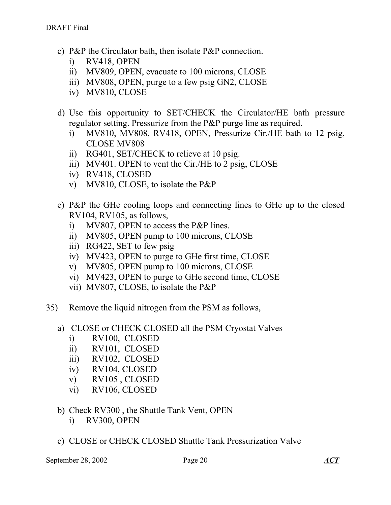- c) P&P the Circulator bath, then isolate P&P connection.
	- i) RV418, OPEN
	- ii) MV809, OPEN, evacuate to 100 microns, CLOSE
	- iii) MV808, OPEN, purge to a few psig GN2, CLOSE
	- iv) MV810, CLOSE
- d) Use this opportunity to SET/CHECK the Circulator/HE bath pressure regulator setting. Pressurize from the P&P purge line as required.
	- i) MV810, MV808, RV418, OPEN, Pressurize Cir./HE bath to 12 psig, CLOSE MV808
	- ii) RG401, SET/CHECK to relieve at 10 psig.
	- iii) MV401. OPEN to vent the Cir./HE to 2 psig, CLOSE
	- iv) RV418, CLOSED
	- v) MV810, CLOSE, to isolate the P&P
- e) P&P the GHe cooling loops and connecting lines to GHe up to the closed RV104, RV105, as follows,
	- i) MV807, OPEN to access the P&P lines.
	- ii) MV805, OPEN pump to 100 microns, CLOSE
	- iii) RG422, SET to few psig
	- iv) MV423, OPEN to purge to GHe first time, CLOSE
	- v) MV805, OPEN pump to 100 microns, CLOSE
	- vi) MV423, OPEN to purge to GHe second time, CLOSE
	- vii) MV807, CLOSE, to isolate the P&P
- 35) Remove the liquid nitrogen from the PSM as follows,
	- a) CLOSE or CHECK CLOSED all the PSM Cryostat Valves
		- i) RV100, CLOSED
		- ii) RV101, CLOSED
		- iii) RV102, CLOSED
		- iv) RV104, CLOSED
		- v) RV105 , CLOSED
		- vi) RV106, CLOSED
	- b) Check RV300 , the Shuttle Tank Vent, OPEN
		- i) RV300, OPEN
	- c) CLOSE or CHECK CLOSED Shuttle Tank Pressurization Valve

September 28, 2002 Page 20 *ACT*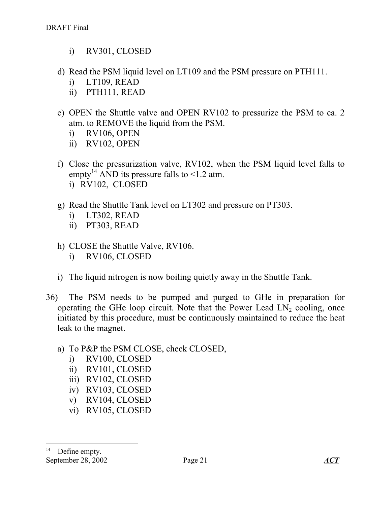- i) RV301, CLOSED
- d) Read the PSM liquid level on LT109 and the PSM pressure on PTH111.
	- i) LT109, READ
	- ii) PTH111, READ
- e) OPEN the Shuttle valve and OPEN RV102 to pressurize the PSM to ca. 2 atm. to REMOVE the liquid from the PSM.
	- i) RV106, OPEN
	- ii) RV102, OPEN
- f) Close the pressurization valve, RV102, when the PSM liquid level falls to empty<sup>14</sup> AND its pressure falls to <1.2 atm. i) RV102, CLOSED
- g) Read the Shuttle Tank level on LT302 and pressure on PT303.
	- i) LT302, READ
	- ii) PT303, READ
- h) CLOSE the Shuttle Valve, RV106.
	- i) RV106, CLOSED
- i) The liquid nitrogen is now boiling quietly away in the Shuttle Tank.
- 36) The PSM needs to be pumped and purged to GHe in preparation for operating the GHe loop circuit. Note that the Power Lead  $LN_2$  cooling, once initiated by this procedure, must be continuously maintained to reduce the heat leak to the magnet.
	- a) To P&P the PSM CLOSE, check CLOSED,
		- i) RV100, CLOSED
		- ii) RV101, CLOSED
		- iii) RV102, CLOSED
		- iv) RV103, CLOSED
		- v) RV104, CLOSED
		- vi) RV105, CLOSED

September 28, 2002 Page 21 *ACT*  $14$  Define empty.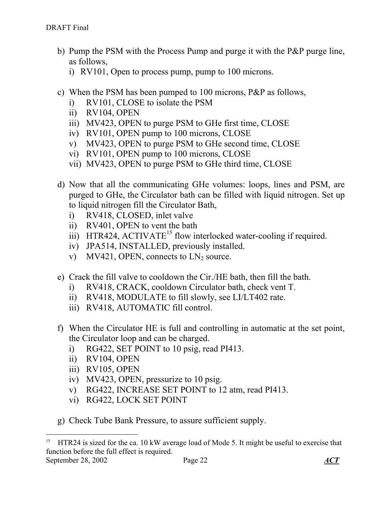- b) Pump the PSM with the Process Pump and purge it with the P&P purge line, as follows,
	- i) RV101, Open to process pump, pump to 100 microns.
- c) When the PSM has been pumped to 100 microns, P&P as follows,
	- i) RV101, CLOSE to isolate the PSM
	- ii) RV104, OPEN
	- iii) MV423, OPEN to purge PSM to GHe first time, CLOSE
	- iv) RV101, OPEN pump to 100 microns, CLOSE
	- v) MV423, OPEN to purge PSM to GHe second time, CLOSE
	- vi) RV101, OPEN pump to 100 microns, CLOSE
	- vii) MV423, OPEN to purge PSM to GHe third time, CLOSE
- d) Now that all the communicating GHe volumes: loops, lines and PSM, are purged to GHe, the Circulator bath can be filled with liquid nitrogen. Set up to liquid nitrogen fill the Circulator Bath,
	- i) RV418, CLOSED, inlet valve
	- ii) RV401, OPEN to vent the bath
	- iii) HTR424,  $ACTIVATE<sup>15</sup>$  flow interlocked water-cooling if required.
	- iv) JPA514, INSTALLED, previously installed.
	- v)  $MV421$ , OPEN, connects to  $LN_2$  source.
- e) Crack the fill valve to cooldown the Cir./HE bath, then fill the bath.
	- i) RV418, CRACK, cooldown Circulator bath, check vent T.
	- ii) RV418, MODULATE to fill slowly, see LI/LT402 rate.
	- iii) RV418, AUTOMATIC fill control.
- f) When the Circulator HE is full and controlling in automatic at the set point, the Circulator loop and can be charged.
	- i) RG422, SET POINT to 10 psig, read PI413.
	- ii) RV104, OPEN
	- iii) RV105, OPEN

- iv) MV423, OPEN, pressurize to 10 psig.
- v) RG422, INCREASE SET POINT to 12 atm, read PI413.
- vi) RG422, LOCK SET POINT
- g) Check Tube Bank Pressure, to assure sufficient supply.

September 28, 2002 **Page 22 Page 22** *ACT* <sup>15</sup> HTR24 is sized for the ca. 10 kW average load of Mode 5. It might be useful to exercise that function before the full effect is required.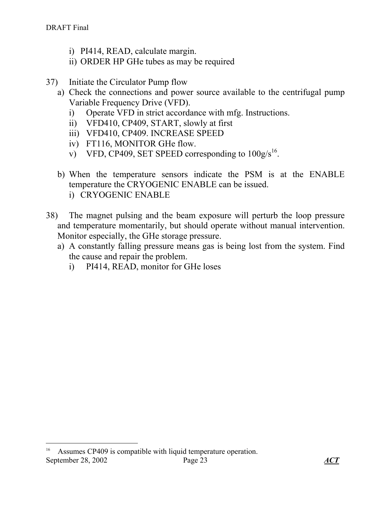- i) PI414, READ, calculate margin.
- ii) ORDER HP GHe tubes as may be required
- 37) Initiate the Circulator Pump flow
	- a) Check the connections and power source available to the centrifugal pump Variable Frequency Drive (VFD).
		- i) Operate VFD in strict accordance with mfg. Instructions.
		- ii) VFD410, CP409, START, slowly at first
		- iii) VFD410, CP409. INCREASE SPEED
		- iv) FT116, MONITOR GHe flow.
		- v) VFD, CP409, SET SPEED corresponding to  $100g/s^{16}$ .
	- b) When the temperature sensors indicate the PSM is at the ENABLE temperature the CRYOGENIC ENABLE can be issued.
		- i) CRYOGENIC ENABLE
- 38) The magnet pulsing and the beam exposure will perturb the loop pressure and temperature momentarily, but should operate without manual intervention. Monitor especially, the GHe storage pressure.
	- a) A constantly falling pressure means gas is being lost from the system. Find the cause and repair the problem.
		- i) PI414, READ, monitor for GHe loses

September 28, 2002 Page 23 *ACT* <sup>16</sup> Assumes CP409 is compatible with liquid temperature operation.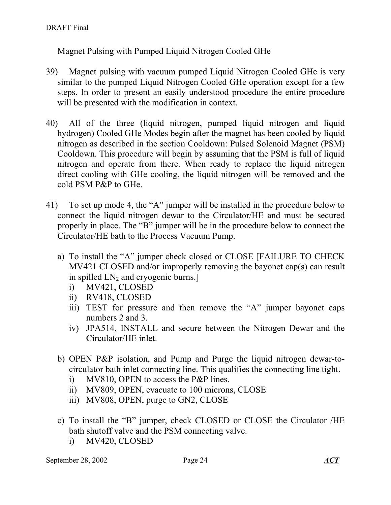Magnet Pulsing with Pumped Liquid Nitrogen Cooled GHe

- 39) Magnet pulsing with vacuum pumped Liquid Nitrogen Cooled GHe is very similar to the pumped Liquid Nitrogen Cooled GHe operation except for a few steps. In order to present an easily understood procedure the entire procedure will be presented with the modification in context.
- 40) All of the three (liquid nitrogen, pumped liquid nitrogen and liquid hydrogen) Cooled GHe Modes begin after the magnet has been cooled by liquid nitrogen as described in the section Cooldown: Pulsed Solenoid Magnet (PSM) Cooldown. This procedure will begin by assuming that the PSM is full of liquid nitrogen and operate from there. When ready to replace the liquid nitrogen direct cooling with GHe cooling, the liquid nitrogen will be removed and the cold PSM P&P to GHe.
- 41) To set up mode 4, the "A" jumper will be installed in the procedure below to connect the liquid nitrogen dewar to the Circulator/HE and must be secured properly in place. The "B" jumper will be in the procedure below to connect the Circulator/HE bath to the Process Vacuum Pump.
	- a) To install the "A" jumper check closed or CLOSE [FAILURE TO CHECK MV421 CLOSED and/or improperly removing the bayonet cap(s) can result in spilled  $LN_2$  and cryogenic burns.
		- i) MV421, CLOSED
		- ii) RV418, CLOSED
		- iii) TEST for pressure and then remove the "A" jumper bayonet caps numbers 2 and 3.
		- iv) JPA514, INSTALL and secure between the Nitrogen Dewar and the Circulator/HE inlet.
	- b) OPEN P&P isolation, and Pump and Purge the liquid nitrogen dewar-tocirculator bath inlet connecting line. This qualifies the connecting line tight.
		- i) MV810, OPEN to access the P&P lines.
		- ii) MV809, OPEN, evacuate to 100 microns, CLOSE
		- iii) MV808, OPEN, purge to GN2, CLOSE
	- c) To install the "B" jumper, check CLOSED or CLOSE the Circulator /HE bath shutoff valve and the PSM connecting valve.
		- i) MV420, CLOSED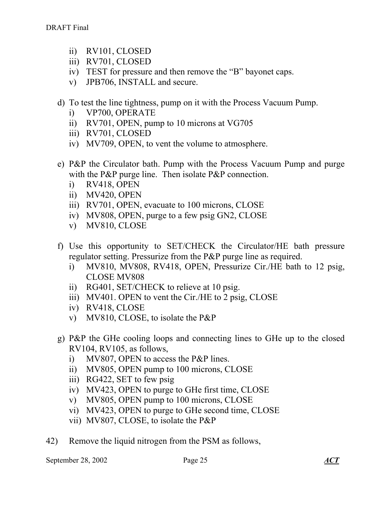- ii) RV101, CLOSED
- iii) RV701, CLOSED
- iv) TEST for pressure and then remove the "B" bayonet caps.
- v) JPB706, INSTALL and secure.
- d) To test the line tightness, pump on it with the Process Vacuum Pump.
	- i) VP700, OPERATE
	- ii) RV701, OPEN, pump to 10 microns at VG705
	- iii) RV701, CLOSED
	- iv) MV709, OPEN, to vent the volume to atmosphere.
- e) P&P the Circulator bath. Pump with the Process Vacuum Pump and purge with the P&P purge line. Then isolate P&P connection.
	- i) RV418, OPEN
	- ii) MV420, OPEN
	- iii) RV701, OPEN, evacuate to 100 microns, CLOSE
	- iv) MV808, OPEN, purge to a few psig GN2, CLOSE
	- v) MV810, CLOSE
- f) Use this opportunity to SET/CHECK the Circulator/HE bath pressure regulator setting. Pressurize from the P&P purge line as required.
	- i) MV810, MV808, RV418, OPEN, Pressurize Cir./HE bath to 12 psig, CLOSE MV808
	- ii) RG401, SET/CHECK to relieve at 10 psig.
	- iii) MV401. OPEN to vent the Cir./HE to 2 psig, CLOSE
	- iv) RV418, CLOSE
	- v) MV810, CLOSE, to isolate the P&P
- g) P&P the GHe cooling loops and connecting lines to GHe up to the closed RV104, RV105, as follows,
	- i) MV807, OPEN to access the P&P lines.
	- ii) MV805, OPEN pump to 100 microns, CLOSE
	- iii) RG422, SET to few psig
	- iv) MV423, OPEN to purge to GHe first time, CLOSE
	- v) MV805, OPEN pump to 100 microns, CLOSE
	- vi) MV423, OPEN to purge to GHe second time, CLOSE
	- vii) MV807, CLOSE, to isolate the P&P
- 42) Remove the liquid nitrogen from the PSM as follows,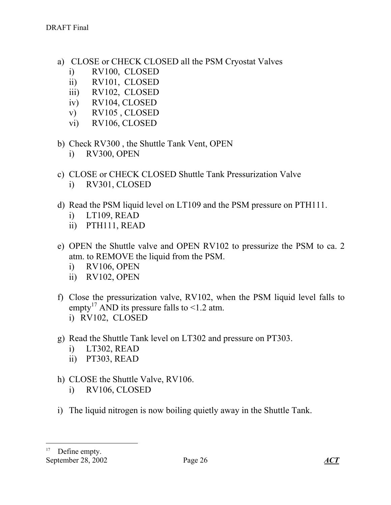- a) CLOSE or CHECK CLOSED all the PSM Cryostat Valves
	- i) RV100, CLOSED
	- ii) RV101, CLOSED
	- iii) RV102, CLOSED
	- iv) RV104, CLOSED
	- v) RV105 , CLOSED
	- vi) RV106, CLOSED
- b) Check RV300 , the Shuttle Tank Vent, OPEN
	- i) RV300, OPEN
- c) CLOSE or CHECK CLOSED Shuttle Tank Pressurization Valve i) RV301, CLOSED
- d) Read the PSM liquid level on LT109 and the PSM pressure on PTH111.
	- i) LT109, READ
	- ii) PTH111, READ
- e) OPEN the Shuttle valve and OPEN RV102 to pressurize the PSM to ca. 2 atm. to REMOVE the liquid from the PSM.
	- i) RV106, OPEN
	- ii) RV102, OPEN
- f) Close the pressurization valve, RV102, when the PSM liquid level falls to empty<sup>17</sup> AND its pressure falls to  $\leq$ 1.2 atm. i) RV102, CLOSED
- g) Read the Shuttle Tank level on LT302 and pressure on PT303.
	- i) LT302, READ
	- ii) PT303, READ
- h) CLOSE the Shuttle Valve, RV106.
	- i) RV106, CLOSED
- i) The liquid nitrogen is now boiling quietly away in the Shuttle Tank.

September 28, 2002 Page 26 *ACT* <sup>17</sup> Define empty.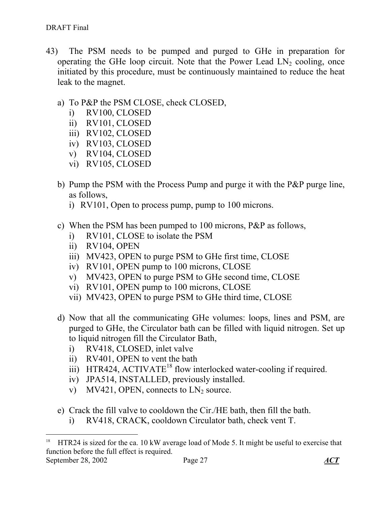- 43) The PSM needs to be pumped and purged to GHe in preparation for operating the GHe loop circuit. Note that the Power Lead  $LN_2$  cooling, once initiated by this procedure, must be continuously maintained to reduce the heat leak to the magnet.
	- a) To P&P the PSM CLOSE, check CLOSED,
		- i) RV100, CLOSED
		- ii) RV101, CLOSED
		- iii) RV102, CLOSED
		- iv) RV103, CLOSED
		- v) RV104, CLOSED
		- vi) RV105, CLOSED
	- b) Pump the PSM with the Process Pump and purge it with the P&P purge line, as follows,
		- i) RV101, Open to process pump, pump to 100 microns.
	- c) When the PSM has been pumped to 100 microns, P&P as follows,
		- i) RV101, CLOSE to isolate the PSM
		- ii) RV104, OPEN

- iii) MV423, OPEN to purge PSM to GHe first time, CLOSE
- iv) RV101, OPEN pump to 100 microns, CLOSE
- v) MV423, OPEN to purge PSM to GHe second time, CLOSE
- vi) RV101, OPEN pump to 100 microns, CLOSE
- vii) MV423, OPEN to purge PSM to GHe third time, CLOSE
- d) Now that all the communicating GHe volumes: loops, lines and PSM, are purged to GHe, the Circulator bath can be filled with liquid nitrogen. Set up to liquid nitrogen fill the Circulator Bath,
	- i) RV418, CLOSED, inlet valve
	- ii) RV401, OPEN to vent the bath
	- $iii)$  HTR424, ACTIVATE<sup>18</sup> flow interlocked water-cooling if required.
	- iv) JPA514, INSTALLED, previously installed.
	- v)  $MV421$ , OPEN, connects to  $LN<sub>2</sub>$  source.
- e) Crack the fill valve to cooldown the Cir./HE bath, then fill the bath.
	- i) RV418, CRACK, cooldown Circulator bath, check vent T.

September 28, 2002 **Page 27 Page 27 ACT** <sup>18</sup> HTR24 is sized for the ca. 10 kW average load of Mode 5. It might be useful to exercise that function before the full effect is required.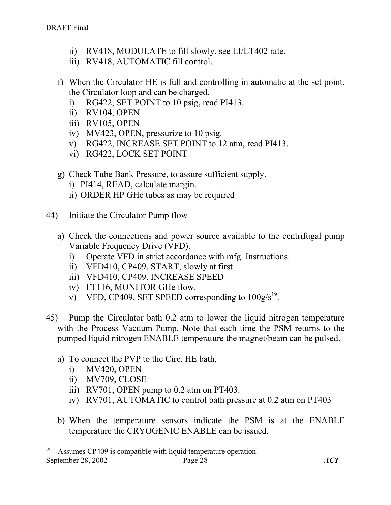- ii) RV418, MODULATE to fill slowly, see LI/LT402 rate.
- iii) RV418, AUTOMATIC fill control.
- f) When the Circulator HE is full and controlling in automatic at the set point, the Circulator loop and can be charged.
	- i) RG422, SET POINT to 10 psig, read PI413.
	- ii) RV104, OPEN
	- iii) RV105, OPEN
	- iv) MV423, OPEN, pressurize to 10 psig.
	- v) RG422, INCREASE SET POINT to 12 atm, read PI413.
	- vi) RG422, LOCK SET POINT
- g) Check Tube Bank Pressure, to assure sufficient supply.
	- i) PI414, READ, calculate margin.
	- ii) ORDER HP GHe tubes as may be required
- 44) Initiate the Circulator Pump flow
	- a) Check the connections and power source available to the centrifugal pump Variable Frequency Drive (VFD).
		- i) Operate VFD in strict accordance with mfg. Instructions.
		- ii) VFD410, CP409, START, slowly at first
		- iii) VFD410, CP409. INCREASE SPEED
		- iv) FT116, MONITOR GHe flow.
		- v) VFD, CP409, SET SPEED corresponding to  $100g/s^{19}$ .
- 45) Pump the Circulator bath 0.2 atm to lower the liquid nitrogen temperature with the Process Vacuum Pump. Note that each time the PSM returns to the pumped liquid nitrogen ENABLE temperature the magnet/beam can be pulsed.
	- a) To connect the PVP to the Circ. HE bath,
		- i) MV420, OPEN

- ii) MV709, CLOSE
- iii) RV701, OPEN pump to 0.2 atm on PT403.
- iv) RV701, AUTOMATIC to control bath pressure at 0.2 atm on PT403
- b) When the temperature sensors indicate the PSM is at the ENABLE temperature the CRYOGENIC ENABLE can be issued.

September 28, 2002 Page 28 *ACT* <sup>19</sup> Assumes CP409 is compatible with liquid temperature operation.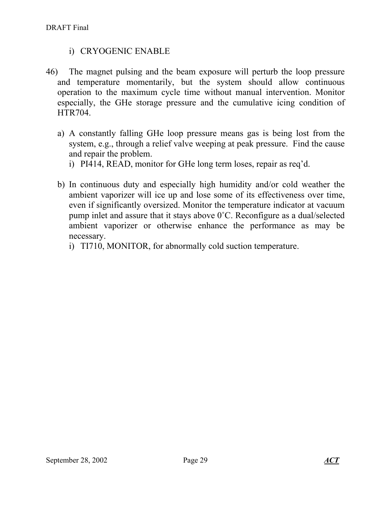- i) CRYOGENIC ENABLE
- 46) The magnet pulsing and the beam exposure will perturb the loop pressure and temperature momentarily, but the system should allow continuous operation to the maximum cycle time without manual intervention. Monitor especially, the GHe storage pressure and the cumulative icing condition of HTR704.
	- a) A constantly falling GHe loop pressure means gas is being lost from the system, e.g., through a relief valve weeping at peak pressure. Find the cause and repair the problem.
		- i) PI414, READ, monitor for GHe long term loses, repair as req'd.
	- b) In continuous duty and especially high humidity and/or cold weather the ambient vaporizer will ice up and lose some of its effectiveness over time, even if significantly oversized. Monitor the temperature indicator at vacuum pump inlet and assure that it stays above 0˚C. Reconfigure as a dual/selected ambient vaporizer or otherwise enhance the performance as may be necessary.
		- i) TI710, MONITOR, for abnormally cold suction temperature.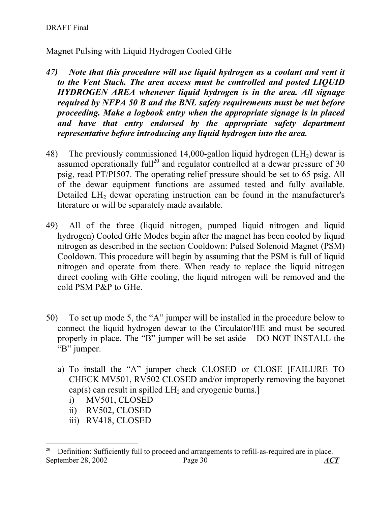Magnet Pulsing with Liquid Hydrogen Cooled GHe

- *47) Note that this procedure will use liquid hydrogen as a coolant and vent it to the Vent Stack. The area access must be controlled and posted LIQUID HYDROGEN AREA whenever liquid hydrogen is in the area. All signage required by NFPA 50 B and the BNL safety requirements must be met before proceeding. Make a logbook entry when the appropriate signage is in placed and have that entry endorsed by the appropriate safety department representative before introducing any liquid hydrogen into the area.*
- 48) The previously commissioned 14,000-gallon liquid hydrogen  $(LH<sub>2</sub>)$  dewar is assumed operationally full<sup>20</sup> and regulator controlled at a dewar pressure of 30 psig, read PT/PI507. The operating relief pressure should be set to 65 psig. All of the dewar equipment functions are assumed tested and fully available. Detailed  $LH<sub>2</sub>$  dewar operating instruction can be found in the manufacturer's literature or will be separately made available.
- 49) All of the three (liquid nitrogen, pumped liquid nitrogen and liquid hydrogen) Cooled GHe Modes begin after the magnet has been cooled by liquid nitrogen as described in the section Cooldown: Pulsed Solenoid Magnet (PSM) Cooldown. This procedure will begin by assuming that the PSM is full of liquid nitrogen and operate from there. When ready to replace the liquid nitrogen direct cooling with GHe cooling, the liquid nitrogen will be removed and the cold PSM P&P to GHe.
- 50) To set up mode 5, the "A" jumper will be installed in the procedure below to connect the liquid hydrogen dewar to the Circulator/HE and must be secured properly in place. The "B" jumper will be set aside – DO NOT INSTALL the "B" jumper.
	- a) To install the "A" jumper check CLOSED or CLOSE [FAILURE TO CHECK MV501, RV502 CLOSED and/or improperly removing the bayonet  $cap(s)$  can result in spilled LH<sub>2</sub> and cryogenic burns.]
		- i) MV501, CLOSED
		- ii) RV502, CLOSED
		- iii) RV418, CLOSED

September 28, 2002 Page 30 *ACT* <sup>20</sup> Definition: Sufficiently full to proceed and arrangements to refill-as-required are in place.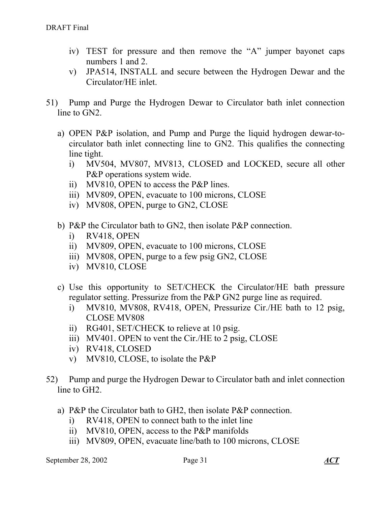- iv) TEST for pressure and then remove the "A" jumper bayonet caps numbers 1 and 2.
- v) JPA514, INSTALL and secure between the Hydrogen Dewar and the Circulator/HE inlet.
- 51) Pump and Purge the Hydrogen Dewar to Circulator bath inlet connection line to GN2.
	- a) OPEN P&P isolation, and Pump and Purge the liquid hydrogen dewar-tocirculator bath inlet connecting line to GN2. This qualifies the connecting line tight.
		- i) MV504, MV807, MV813, CLOSED and LOCKED, secure all other P&P operations system wide.
		- ii) MV810, OPEN to access the P&P lines.
		- iii) MV809, OPEN, evacuate to 100 microns, CLOSE
		- iv) MV808, OPEN, purge to GN2, CLOSE
	- b) P&P the Circulator bath to GN2, then isolate P&P connection.
		- i) RV418, OPEN
		- ii) MV809, OPEN, evacuate to 100 microns, CLOSE
		- iii) MV808, OPEN, purge to a few psig GN2, CLOSE
		- iv) MV810, CLOSE
	- c) Use this opportunity to SET/CHECK the Circulator/HE bath pressure regulator setting. Pressurize from the P&P GN2 purge line as required.
		- i) MV810, MV808, RV418, OPEN, Pressurize Cir./HE bath to 12 psig, CLOSE MV808
		- ii) RG401, SET/CHECK to relieve at 10 psig.
		- iii) MV401. OPEN to vent the Cir./HE to 2 psig, CLOSE
		- iv) RV418, CLOSED
		- v) MV810, CLOSE, to isolate the P&P
- 52) Pump and purge the Hydrogen Dewar to Circulator bath and inlet connection line to GH2.
	- a) P&P the Circulator bath to GH2, then isolate P&P connection.
		- i) RV418, OPEN to connect bath to the inlet line
		- ii) MV810, OPEN, access to the P&P manifolds
		- iii) MV809, OPEN, evacuate line/bath to 100 microns, CLOSE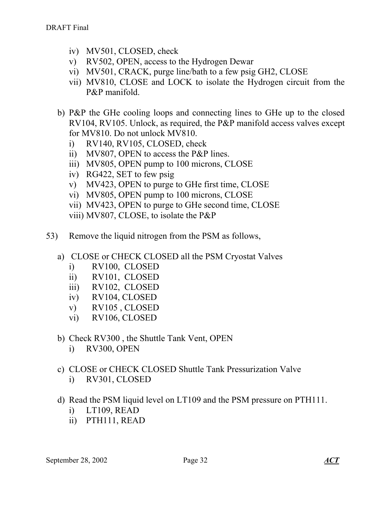- iv) MV501, CLOSED, check
- v) RV502, OPEN, access to the Hydrogen Dewar
- vi) MV501, CRACK, purge line/bath to a few psig GH2, CLOSE
- vii) MV810, CLOSE and LOCK to isolate the Hydrogen circuit from the P&P manifold.
- b) P&P the GHe cooling loops and connecting lines to GHe up to the closed RV104, RV105. Unlock, as required, the P&P manifold access valves except for MV810. Do not unlock MV810.
	- i) RV140, RV105, CLOSED, check
	- ii) MV807, OPEN to access the P&P lines.
	- iii) MV805, OPEN pump to 100 microns, CLOSE
	- iv) RG422, SET to few psig
	- v) MV423, OPEN to purge to GHe first time, CLOSE
	- vi) MV805, OPEN pump to 100 microns, CLOSE
	- vii) MV423, OPEN to purge to GHe second time, CLOSE
	- viii) MV807, CLOSE, to isolate the P&P
- 53) Remove the liquid nitrogen from the PSM as follows,
	- a) CLOSE or CHECK CLOSED all the PSM Cryostat Valves
		- i) RV100, CLOSED
		- ii) RV101, CLOSED
		- iii) RV102, CLOSED
		- iv) RV104, CLOSED
		- v) RV105 , CLOSED
		- vi) RV106, CLOSED
	- b) Check RV300 , the Shuttle Tank Vent, OPEN
		- i) RV300, OPEN
	- c) CLOSE or CHECK CLOSED Shuttle Tank Pressurization Valve i) RV301, CLOSED
	- d) Read the PSM liquid level on LT109 and the PSM pressure on PTH111.
		- i) LT109, READ
		- ii) PTH111, READ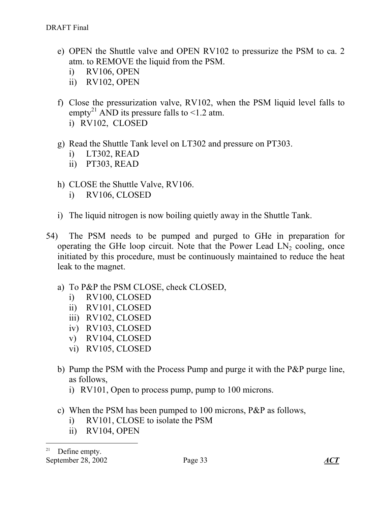- e) OPEN the Shuttle valve and OPEN RV102 to pressurize the PSM to ca. 2 atm. to REMOVE the liquid from the PSM.
	- i) RV106, OPEN
	- ii) RV102, OPEN
- f) Close the pressurization valve, RV102, when the PSM liquid level falls to empty<sup>21</sup> AND its pressure falls to  $\leq$  1.2 atm. i) RV102, CLOSED
- g) Read the Shuttle Tank level on LT302 and pressure on PT303.
	- i) LT302, READ
	- ii) PT303, READ
- h) CLOSE the Shuttle Valve, RV106.
	- i) RV106, CLOSED
- i) The liquid nitrogen is now boiling quietly away in the Shuttle Tank.
- 54) The PSM needs to be pumped and purged to GHe in preparation for operating the GHe loop circuit. Note that the Power Lead  $LN_2$  cooling, once initiated by this procedure, must be continuously maintained to reduce the heat leak to the magnet.
	- a) To P&P the PSM CLOSE, check CLOSED,
		- i) RV100, CLOSED
		- ii) RV101, CLOSED
		- iii) RV102, CLOSED
		- iv) RV103, CLOSED
		- v) RV104, CLOSED
		- vi) RV105, CLOSED
	- b) Pump the PSM with the Process Pump and purge it with the P&P purge line, as follows,
		- i) RV101, Open to process pump, pump to 100 microns.
	- c) When the PSM has been pumped to 100 microns, P&P as follows,
		- i) RV101, CLOSE to isolate the PSM
		- ii) RV104, OPEN

September 28, 2002 Page 33 *ACT*  $21$  Define empty.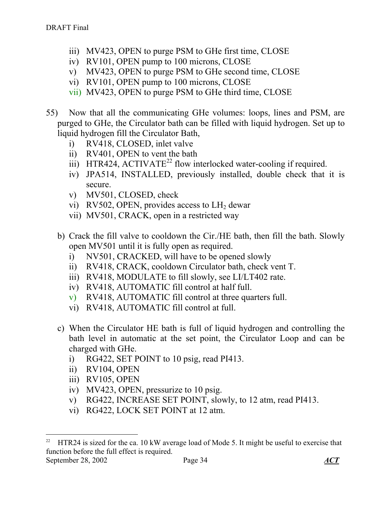- iii) MV423, OPEN to purge PSM to GHe first time, CLOSE
- iv) RV101, OPEN pump to 100 microns, CLOSE
- v) MV423, OPEN to purge PSM to GHe second time, CLOSE
- vi) RV101, OPEN pump to 100 microns, CLOSE
- vii) MV423, OPEN to purge PSM to GHe third time, CLOSE
- 55) Now that all the communicating GHe volumes: loops, lines and PSM, are purged to GHe, the Circulator bath can be filled with liquid hydrogen. Set up to liquid hydrogen fill the Circulator Bath,
	- i) RV418, CLOSED, inlet valve
	- ii) RV401, OPEN to vent the bath
	- iii) HTR424,  $ACTIVATE<sup>22</sup>$  flow interlocked water-cooling if required.
	- iv) JPA514, INSTALLED, previously installed, double check that it is secure.
	- v) MV501, CLOSED, check
	- vi) RV502, OPEN, provides access to  $LH<sub>2</sub>$  dewar
	- vii) MV501, CRACK, open in a restricted way
	- b) Crack the fill valve to cooldown the Cir./HE bath, then fill the bath. Slowly open MV501 until it is fully open as required.
		- i) NV501, CRACKED, will have to be opened slowly
		- ii) RV418, CRACK, cooldown Circulator bath, check vent T.
		- iii) RV418, MODULATE to fill slowly, see LI/LT402 rate.
		- iv) RV418, AUTOMATIC fill control at half full.
		- v) RV418, AUTOMATIC fill control at three quarters full.
		- vi) RV418, AUTOMATIC fill control at full.
	- c) When the Circulator HE bath is full of liquid hydrogen and controlling the bath level in automatic at the set point, the Circulator Loop and can be charged with GHe.
		- i) RG422, SET POINT to 10 psig, read PI413.
		- ii) RV104, OPEN
		- iii) RV105, OPEN

- iv) MV423, OPEN, pressurize to 10 psig.
- v) RG422, INCREASE SET POINT, slowly, to 12 atm, read PI413.
- vi) RG422, LOCK SET POINT at 12 atm.

September 28, 2002 **Page 34 Page 34 ACT** <sup>22</sup> HTR24 is sized for the ca. 10 kW average load of Mode 5. It might be useful to exercise that function before the full effect is required.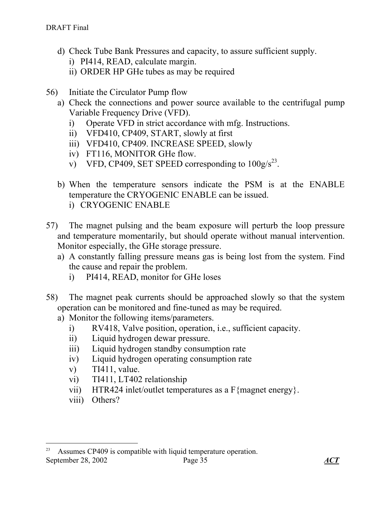- d) Check Tube Bank Pressures and capacity, to assure sufficient supply.
	- i) PI414, READ, calculate margin.
	- ii) ORDER HP GHe tubes as may be required
- 56) Initiate the Circulator Pump flow
	- a) Check the connections and power source available to the centrifugal pump Variable Frequency Drive (VFD).
		- i) Operate VFD in strict accordance with mfg. Instructions.
		- ii) VFD410, CP409, START, slowly at first
		- iii) VFD410, CP409. INCREASE SPEED, slowly
		- iv) FT116, MONITOR GHe flow.
		- v) VFD, CP409, SET SPEED corresponding to  $100g/s<sup>23</sup>$ .
	- b) When the temperature sensors indicate the PSM is at the ENABLE temperature the CRYOGENIC ENABLE can be issued.
		- i) CRYOGENIC ENABLE
- 57) The magnet pulsing and the beam exposure will perturb the loop pressure and temperature momentarily, but should operate without manual intervention. Monitor especially, the GHe storage pressure.
	- a) A constantly falling pressure means gas is being lost from the system. Find the cause and repair the problem.
		- i) PI414, READ, monitor for GHe loses
- 58) The magnet peak currents should be approached slowly so that the system operation can be monitored and fine-tuned as may be required.
	- a) Monitor the following items/parameters.
		- i) RV418, Valve position, operation, i.e., sufficient capacity.
		- ii) Liquid hydrogen dewar pressure.
		- iii) Liquid hydrogen standby consumption rate
		- iv) Liquid hydrogen operating consumption rate
		- v) TI411, value.
		- vi) TI411, LT402 relationship
		- vii) HTR424 inlet/outlet temperatures as a  $F\{$ magnet energy $\}$ .
		- viii) Others?

September 28, 2002 Page 35 *ACT*  $\overline{a}$ <sup>23</sup> Assumes CP409 is compatible with liquid temperature operation.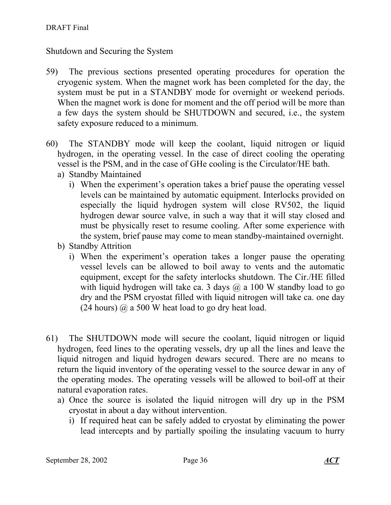Shutdown and Securing the System

- 59) The previous sections presented operating procedures for operation the cryogenic system. When the magnet work has been completed for the day, the system must be put in a STANDBY mode for overnight or weekend periods. When the magnet work is done for moment and the off period will be more than a few days the system should be SHUTDOWN and secured, i.e., the system safety exposure reduced to a minimum.
- 60) The STANDBY mode will keep the coolant, liquid nitrogen or liquid hydrogen, in the operating vessel. In the case of direct cooling the operating vessel is the PSM, and in the case of GHe cooling is the Circulator/HE bath.
	- a) Standby Maintained
		- i) When the experiment's operation takes a brief pause the operating vessel levels can be maintained by automatic equipment. Interlocks provided on especially the liquid hydrogen system will close RV502, the liquid hydrogen dewar source valve, in such a way that it will stay closed and must be physically reset to resume cooling. After some experience with the system, brief pause may come to mean standby-maintained overnight.
	- b) Standby Attrition
		- i) When the experiment's operation takes a longer pause the operating vessel levels can be allowed to boil away to vents and the automatic equipment, except for the safety interlocks shutdown. The Cir./HE filled with liquid hydrogen will take ca. 3 days  $(a)$  a 100 W standby load to go dry and the PSM cryostat filled with liquid nitrogen will take ca. one day (24 hours)  $\omega$  a 500 W heat load to go dry heat load.
- 61) The SHUTDOWN mode will secure the coolant, liquid nitrogen or liquid hydrogen, feed lines to the operating vessels, dry up all the lines and leave the liquid nitrogen and liquid hydrogen dewars secured. There are no means to return the liquid inventory of the operating vessel to the source dewar in any of the operating modes. The operating vessels will be allowed to boil-off at their natural evaporation rates.
	- a) Once the source is isolated the liquid nitrogen will dry up in the PSM cryostat in about a day without intervention.
		- i) If required heat can be safely added to cryostat by eliminating the power lead intercepts and by partially spoiling the insulating vacuum to hurry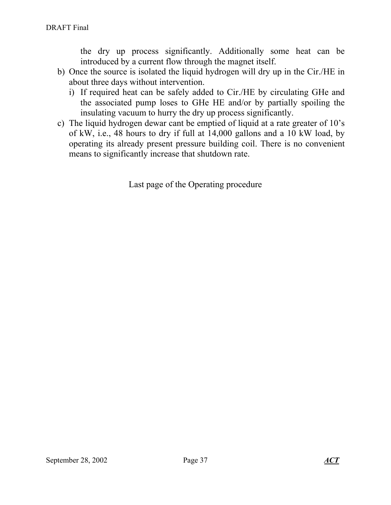the dry up process significantly. Additionally some heat can be introduced by a current flow through the magnet itself.

- b) Once the source is isolated the liquid hydrogen will dry up in the Cir./HE in about three days without intervention.
	- i) If required heat can be safely added to Cir./HE by circulating GHe and the associated pump loses to GHe HE and/or by partially spoiling the insulating vacuum to hurry the dry up process significantly.
- c) The liquid hydrogen dewar cant be emptied of liquid at a rate greater of 10's of kW, i.e., 48 hours to dry if full at 14,000 gallons and a 10 kW load, by operating its already present pressure building coil. There is no convenient means to significantly increase that shutdown rate.

Last page of the Operating procedure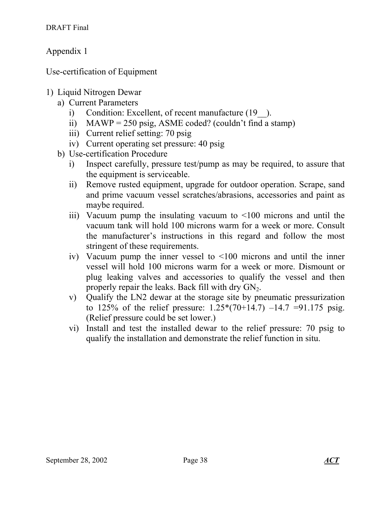Use-certification of Equipment

- 1) Liquid Nitrogen Dewar
	- a) Current Parameters
		- i) Condition: Excellent, of recent manufacture (19<sup>-1</sup>).
		- ii)  $MAWP = 250 \text{ psig}, ASME coded? (couldn't find a stamp)$
		- iii) Current relief setting: 70 psig
		- iv) Current operating set pressure: 40 psig
	- b) Use-certification Procedure
		- i) Inspect carefully, pressure test/pump as may be required, to assure that the equipment is serviceable.
		- ii) Remove rusted equipment, upgrade for outdoor operation. Scrape, sand and prime vacuum vessel scratches/abrasions, accessories and paint as maybe required.
		- iii) Vacuum pump the insulating vacuum to <100 microns and until the vacuum tank will hold 100 microns warm for a week or more. Consult the manufacturer's instructions in this regard and follow the most stringent of these requirements.
		- iv) Vacuum pump the inner vessel to <100 microns and until the inner vessel will hold 100 microns warm for a week or more. Dismount or plug leaking valves and accessories to qualify the vessel and then properly repair the leaks. Back fill with dry  $GN_2$ .
		- v) Qualify the LN2 dewar at the storage site by pneumatic pressurization to 125% of the relief pressure:  $1.25*(70+14.7) -14.7 = 91.175$  psig. (Relief pressure could be set lower.)
		- vi) Install and test the installed dewar to the relief pressure: 70 psig to qualify the installation and demonstrate the relief function in situ.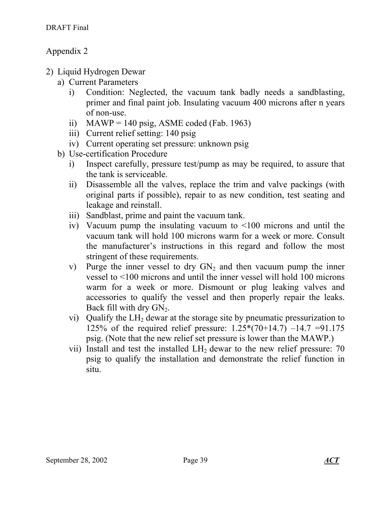- 2) Liquid Hydrogen Dewar
	- a) Current Parameters
		- i) Condition: Neglected, the vacuum tank badly needs a sandblasting, primer and final paint job. Insulating vacuum 400 microns after n years of non-use.
		- ii) MAWP = 140 psig, ASME coded (Fab. 1963)
		- iii) Current relief setting: 140 psig
		- iv) Current operating set pressure: unknown psig
	- b) Use-certification Procedure
		- i) Inspect carefully, pressure test/pump as may be required, to assure that the tank is serviceable.
		- ii) Disassemble all the valves, replace the trim and valve packings (with original parts if possible), repair to as new condition, test seating and leakage and reinstall.
		- iii) Sandblast, prime and paint the vacuum tank.
		- iv) Vacuum pump the insulating vacuum to <100 microns and until the vacuum tank will hold 100 microns warm for a week or more. Consult the manufacturer's instructions in this regard and follow the most stringent of these requirements.
		- v) Purge the inner vessel to dry  $GN_2$  and then vacuum pump the inner vessel to <100 microns and until the inner vessel will hold 100 microns warm for a week or more. Dismount or plug leaking valves and accessories to qualify the vessel and then properly repair the leaks. Back fill with dry  $GN_2$ .
		- vi) Qualify the  $LH<sub>2</sub>$  dewar at the storage site by pneumatic pressurization to 125% of the required relief pressure: 1.25\*(70+14.7) –14.7 =91.175 psig. (Note that the new relief set pressure is lower than the MAWP.)
		- vii) Install and test the installed  $LH_2$  dewar to the new relief pressure: 70 psig to qualify the installation and demonstrate the relief function in situ.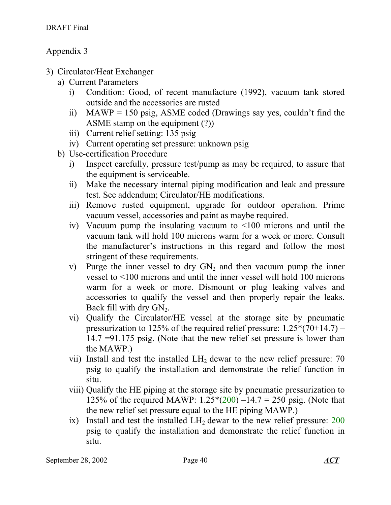- 3) Circulator/Heat Exchanger
	- a) Current Parameters
		- i) Condition: Good, of recent manufacture (1992), vacuum tank stored outside and the accessories are rusted
		- ii) MAWP = 150 psig, ASME coded (Drawings say yes, couldn't find the ASME stamp on the equipment (?))
		- iii) Current relief setting: 135 psig
		- iv) Current operating set pressure: unknown psig
	- b) Use-certification Procedure
		- i) Inspect carefully, pressure test/pump as may be required, to assure that the equipment is serviceable.
		- ii) Make the necessary internal piping modification and leak and pressure test. See addendum; Circulator/HE modifications.
		- iii) Remove rusted equipment, upgrade for outdoor operation. Prime vacuum vessel, accessories and paint as maybe required.
		- iv) Vacuum pump the insulating vacuum to <100 microns and until the vacuum tank will hold 100 microns warm for a week or more. Consult the manufacturer's instructions in this regard and follow the most stringent of these requirements.
		- v) Purge the inner vessel to dry  $GN_2$  and then vacuum pump the inner vessel to <100 microns and until the inner vessel will hold 100 microns warm for a week or more. Dismount or plug leaking valves and accessories to qualify the vessel and then properly repair the leaks. Back fill with dry  $GN_2$ .
		- vi) Qualify the Circulator/HE vessel at the storage site by pneumatic pressurization to 125% of the required relief pressure:  $1.25*(70+14.7)$  – 14.7 =91.175 psig. (Note that the new relief set pressure is lower than the MAWP.)
		- vii) Install and test the installed  $LH<sub>2</sub>$  dewar to the new relief pressure: 70 psig to qualify the installation and demonstrate the relief function in situ.
		- viii) Qualify the HE piping at the storage site by pneumatic pressurization to 125% of the required MAWP:  $1.25*(200) -14.7 = 250$  psig. (Note that the new relief set pressure equal to the HE piping MAWP.)
		- ix) Install and test the installed  $LH<sub>2</sub>$  dewar to the new relief pressure: 200 psig to qualify the installation and demonstrate the relief function in situ.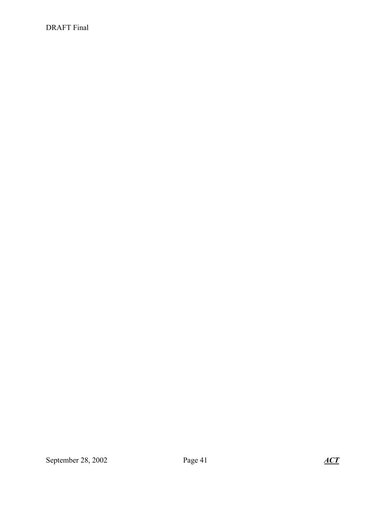DRAFT Final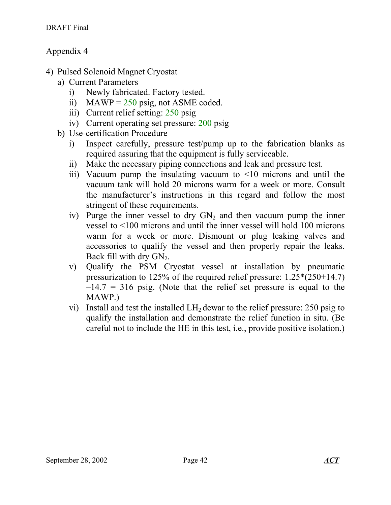- 4) Pulsed Solenoid Magnet Cryostat
	- a) Current Parameters
		- i) Newly fabricated. Factory tested.
		- ii) MAWP =  $250$  psig, not ASME coded.
		- iii) Current relief setting: 250 psig
		- iv) Current operating set pressure: 200 psig
	- b) Use-certification Procedure
		- i) Inspect carefully, pressure test/pump up to the fabrication blanks as required assuring that the equipment is fully serviceable.
		- ii) Make the necessary piping connections and leak and pressure test.
		- iii) Vacuum pump the insulating vacuum to <10 microns and until the vacuum tank will hold 20 microns warm for a week or more. Consult the manufacturer's instructions in this regard and follow the most stringent of these requirements.
		- iv) Purge the inner vessel to dry  $GN_2$  and then vacuum pump the inner vessel to <100 microns and until the inner vessel will hold 100 microns warm for a week or more. Dismount or plug leaking valves and accessories to qualify the vessel and then properly repair the leaks. Back fill with dry  $GN<sub>2</sub>$ .
		- v) Qualify the PSM Cryostat vessel at installation by pneumatic pressurization to 125% of the required relief pressure: 1.25\*(250+14.7)  $-14.7 = 316$  psig. (Note that the relief set pressure is equal to the MAWP.)
		- vi) Install and test the installed  $LH_2$  dewar to the relief pressure: 250 psig to qualify the installation and demonstrate the relief function in situ. (Be careful not to include the HE in this test, i.e., provide positive isolation.)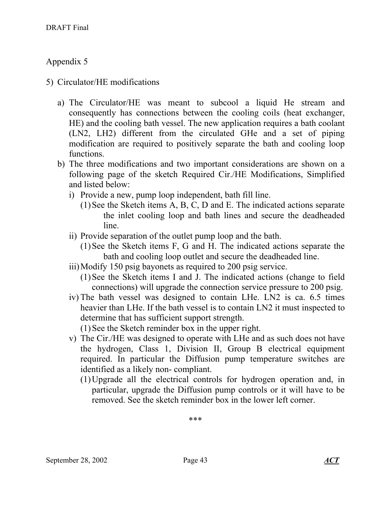### 5) Circulator/HE modifications

- a) The Circulator/HE was meant to subcool a liquid He stream and consequently has connections between the cooling coils (heat exchanger, HE) and the cooling bath vessel. The new application requires a bath coolant (LN2, LH2) different from the circulated GHe and a set of piping modification are required to positively separate the bath and cooling loop functions.
- b) The three modifications and two important considerations are shown on a following page of the sketch Required Cir./HE Modifications, Simplified and listed below:
	- i) Provide a new, pump loop independent, bath fill line.
		- (1) See the Sketch items A, B, C, D and E. The indicated actions separate the inlet cooling loop and bath lines and secure the deadheaded line.
	- ii) Provide separation of the outlet pump loop and the bath.
		- (1) See the Sketch items F, G and H. The indicated actions separate the bath and cooling loop outlet and secure the deadheaded line.
	- iii) Modify 150 psig bayonets as required to 200 psig service.
		- (1) See the Sketch items I and J. The indicated actions (change to field connections) will upgrade the connection service pressure to 200 psig.
	- iv) The bath vessel was designed to contain LHe. LN2 is ca. 6.5 times heavier than LHe. If the bath vessel is to contain LN2 it must inspected to determine that has sufficient support strength.

(1) See the Sketch reminder box in the upper right.

- v) The Cir./HE was designed to operate with LHe and as such does not have the hydrogen, Class 1, Division II, Group B electrical equipment required. In particular the Diffusion pump temperature switches are identified as a likely non- compliant.
	- (1) Upgrade all the electrical controls for hydrogen operation and, in particular, upgrade the Diffusion pump controls or it will have to be removed. See the sketch reminder box in the lower left corner.

 $***$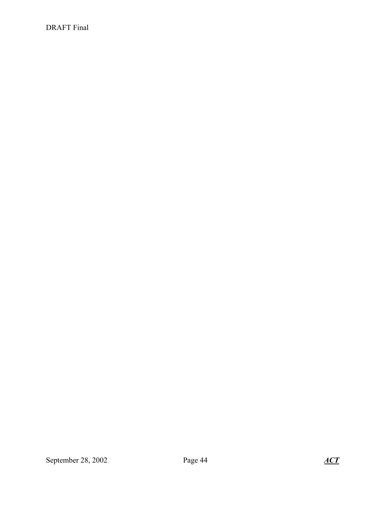DRAFT Final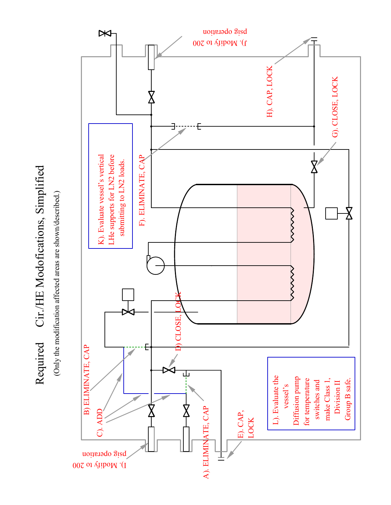Required Cir./HE Modofications, Simplified Required Cir./HE Modofications, Simplified

(Only the modification affected areas are shown/described.) (Only the modification affected areas are shown/described.)

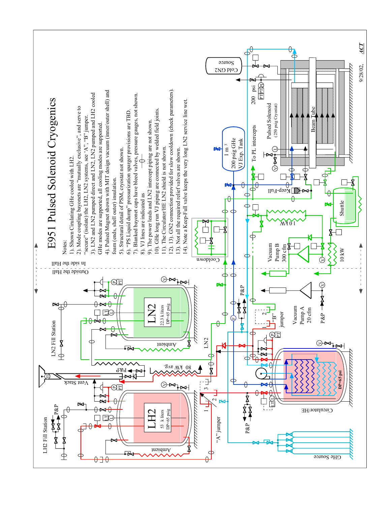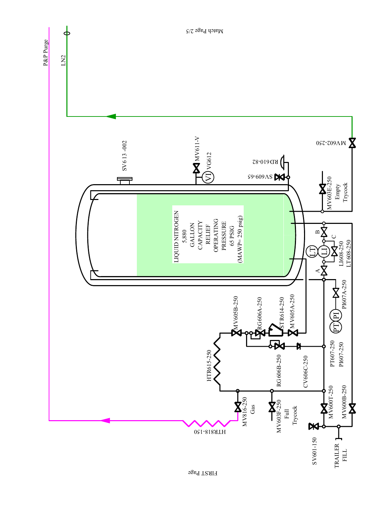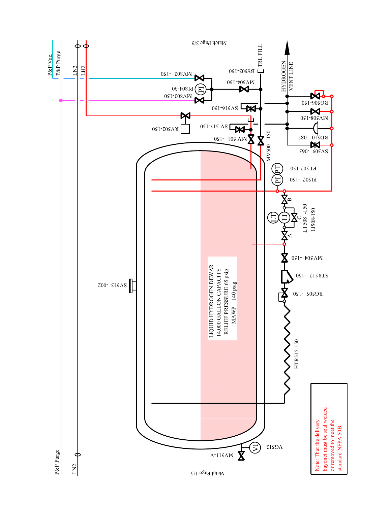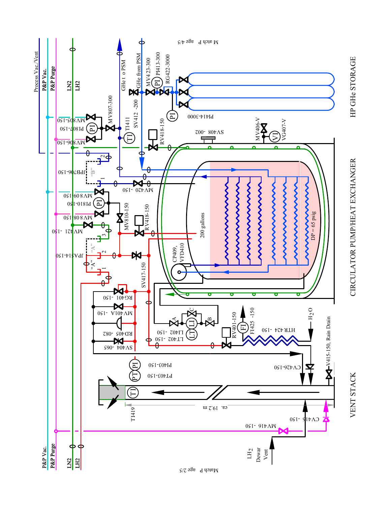

CIRCULATOR PUMP/HEAT EXCHANGER CIRCULATOR PUMP/HEAT EXCHANGER

VENT STACK VENT STACK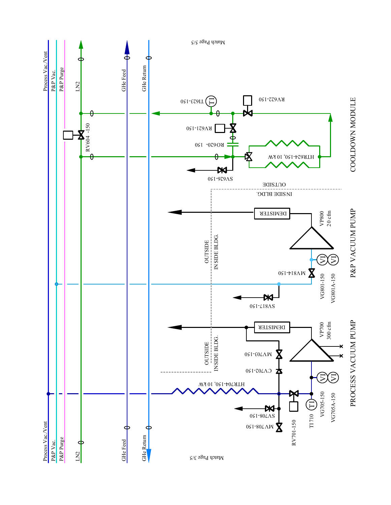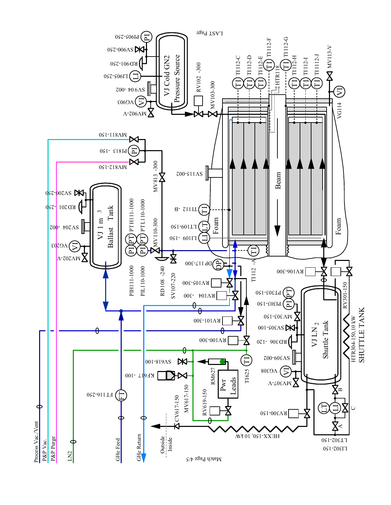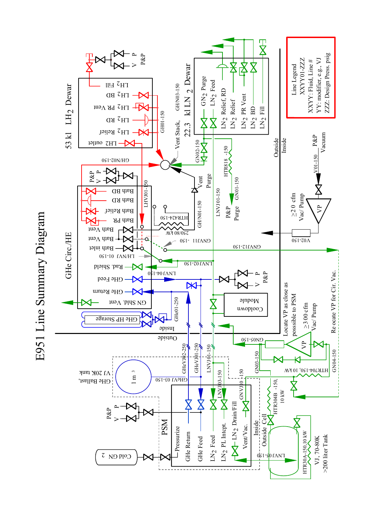

E951 Line Summary Diagram E951 Line Summary Diagram